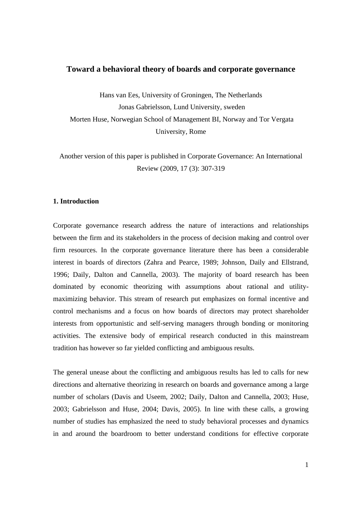### **Toward a behavioral theory of boards and corporate governance**

Hans van Ees, University of Groningen, The Netherlands Jonas Gabrielsson, Lund University, sweden Morten Huse, Norwegian School of Management BI, Norway and Tor Vergata University, Rome

Another version of this paper is published in Corporate Governance: An International Review (2009, 17 (3): 307-319

#### **1. Introduction**

Corporate governance research address the nature of interactions and relationships between the firm and its stakeholders in the process of decision making and control over firm resources. In the corporate governance literature there has been a considerable interest in boards of directors (Zahra and Pearce, 1989; Johnson, Daily and Ellstrand, 1996; Daily, Dalton and Cannella, 2003). The majority of board research has been dominated by economic theorizing with assumptions about rational and utilitymaximizing behavior. This stream of research put emphasizes on formal incentive and control mechanisms and a focus on how boards of directors may protect shareholder interests from opportunistic and self-serving managers through bonding or monitoring activities. The extensive body of empirical research conducted in this mainstream tradition has however so far yielded conflicting and ambiguous results.

The general unease about the conflicting and ambiguous results has led to calls for new directions and alternative theorizing in research on boards and governance among a large number of scholars (Davis and Useem, 2002; Daily, Dalton and Cannella, 2003; Huse, 2003; Gabrielsson and Huse, 2004; Davis, 2005). In line with these calls, a growing number of studies has emphasized the need to study behavioral processes and dynamics in and around the boardroom to better understand conditions for effective corporate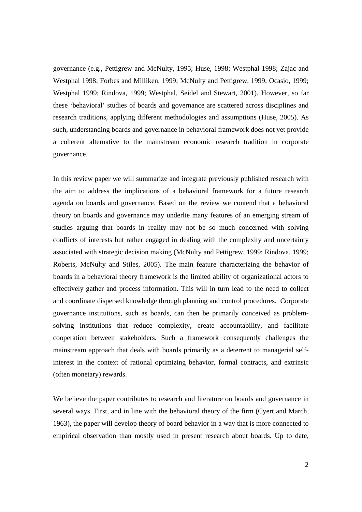governance (e.g., Pettigrew and McNulty, 1995; Huse, 1998; Westphal 1998; Zajac and Westphal 1998; Forbes and Milliken, 1999; McNulty and Pettigrew, 1999; Ocasio, 1999; Westphal 1999; Rindova, 1999; Westphal, Seidel and Stewart, 2001). However, so far these 'behavioral' studies of boards and governance are scattered across disciplines and research traditions, applying different methodologies and assumptions (Huse, 2005). As such, understanding boards and governance in behavioral framework does not yet provide a coherent alternative to the mainstream economic research tradition in corporate governance.

In this review paper we will summarize and integrate previously published research with the aim to address the implications of a behavioral framework for a future research agenda on boards and governance. Based on the review we contend that a behavioral theory on boards and governance may underlie many features of an emerging stream of studies arguing that boards in reality may not be so much concerned with solving conflicts of interests but rather engaged in dealing with the complexity and uncertainty associated with strategic decision making (McNulty and Pettigrew, 1999; Rindova, 1999; Roberts, McNulty and Stiles, 2005). The main feature characterizing the behavior of boards in a behavioral theory framework is the limited ability of organizational actors to effectively gather and process information. This will in turn lead to the need to collect and coordinate dispersed knowledge through planning and control procedures. Corporate governance institutions, such as boards, can then be primarily conceived as problemsolving institutions that reduce complexity, create accountability, and facilitate cooperation between stakeholders. Such a framework consequently challenges the mainstream approach that deals with boards primarily as a deterrent to managerial selfinterest in the context of rational optimizing behavior, formal contracts, and extrinsic (often monetary) rewards.

We believe the paper contributes to research and literature on boards and governance in several ways. First, and in line with the behavioral theory of the firm (Cyert and March, 1963), the paper will develop theory of board behavior in a way that is more connected to empirical observation than mostly used in present research about boards. Up to date,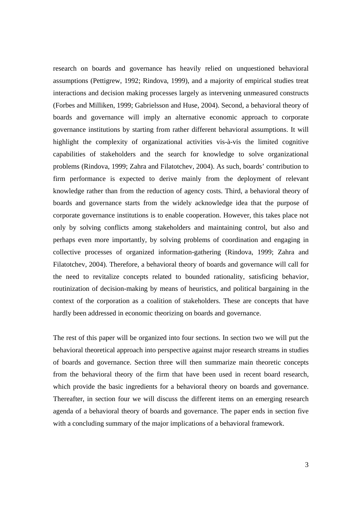research on boards and governance has heavily relied on unquestioned behavioral assumptions (Pettigrew, 1992; Rindova, 1999), and a majority of empirical studies treat interactions and decision making processes largely as intervening unmeasured constructs (Forbes and Milliken, 1999; Gabrielsson and Huse, 2004). Second, a behavioral theory of boards and governance will imply an alternative economic approach to corporate governance institutions by starting from rather different behavioral assumptions. It will highlight the complexity of organizational activities vis-à-vis the limited cognitive capabilities of stakeholders and the search for knowledge to solve organizational problems (Rindova, 1999; Zahra and Filatotchev, 2004). As such, boards' contribution to firm performance is expected to derive mainly from the deployment of relevant knowledge rather than from the reduction of agency costs. Third, a behavioral theory of boards and governance starts from the widely acknowledge idea that the purpose of corporate governance institutions is to enable cooperation. However, this takes place not only by solving conflicts among stakeholders and maintaining control, but also and perhaps even more importantly, by solving problems of coordination and engaging in collective processes of organized information-gathering (Rindova, 1999; Zahra and Filatotchev, 2004). Therefore, a behavioral theory of boards and governance will call for the need to revitalize concepts related to bounded rationality, satisficing behavior, routinization of decision-making by means of heuristics, and political bargaining in the context of the corporation as a coalition of stakeholders. These are concepts that have hardly been addressed in economic theorizing on boards and governance.

The rest of this paper will be organized into four sections. In section two we will put the behavioral theoretical approach into perspective against major research streams in studies of boards and governance. Section three will then summarize main theoretic concepts from the behavioral theory of the firm that have been used in recent board research, which provide the basic ingredients for a behavioral theory on boards and governance. Thereafter, in section four we will discuss the different items on an emerging research agenda of a behavioral theory of boards and governance. The paper ends in section five with a concluding summary of the major implications of a behavioral framework.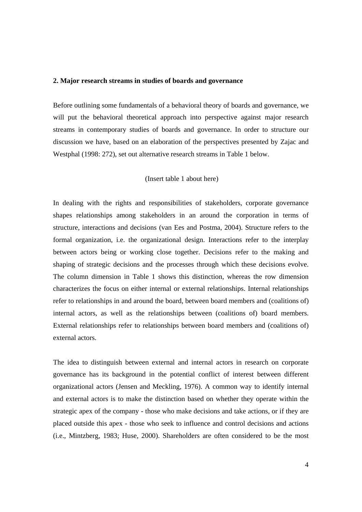### **2. Major research streams in studies of boards and governance**

Before outlining some fundamentals of a behavioral theory of boards and governance, we will put the behavioral theoretical approach into perspective against major research streams in contemporary studies of boards and governance. In order to structure our discussion we have, based on an elaboration of the perspectives presented by Zajac and Westphal (1998: 272), set out alternative research streams in Table 1 below.

#### (Insert table 1 about here)

In dealing with the rights and responsibilities of stakeholders, corporate governance shapes relationships among stakeholders in an around the corporation in terms of structure, interactions and decisions (van Ees and Postma, 2004). Structure refers to the formal organization, i.e. the organizational design. Interactions refer to the interplay between actors being or working close together. Decisions refer to the making and shaping of strategic decisions and the processes through which these decisions evolve. The column dimension in Table 1 shows this distinction, whereas the row dimension characterizes the focus on either internal or external relationships. Internal relationships refer to relationships in and around the board, between board members and (coalitions of) internal actors, as well as the relationships between (coalitions of) board members. External relationships refer to relationships between board members and (coalitions of) external actors.

The idea to distinguish between external and internal actors in research on corporate governance has its background in the potential conflict of interest between different organizational actors (Jensen and Meckling, 1976). A common way to identify internal and external actors is to make the distinction based on whether they operate within the strategic apex of the company - those who make decisions and take actions, or if they are placed outside this apex - those who seek to influence and control decisions and actions (i.e., Mintzberg, 1983; Huse, 2000). Shareholders are often considered to be the most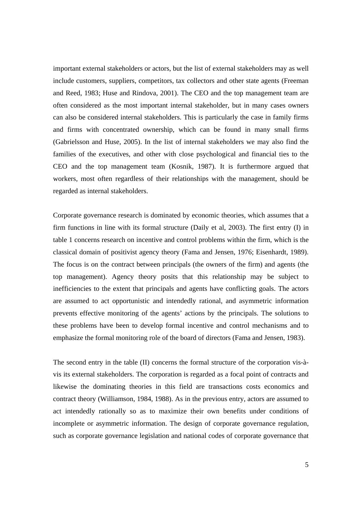important external stakeholders or actors, but the list of external stakeholders may as well include customers, suppliers, competitors, tax collectors and other state agents (Freeman and Reed, 1983; Huse and Rindova, 2001). The CEO and the top management team are often considered as the most important internal stakeholder, but in many cases owners can also be considered internal stakeholders. This is particularly the case in family firms and firms with concentrated ownership, which can be found in many small firms (Gabrielsson and Huse, 2005). In the list of internal stakeholders we may also find the families of the executives, and other with close psychological and financial ties to the CEO and the top management team (Kosnik, 1987). It is furthermore argued that workers, most often regardless of their relationships with the management, should be regarded as internal stakeholders.

Corporate governance research is dominated by economic theories, which assumes that a firm functions in line with its formal structure (Daily et al, 2003). The first entry (I) in table 1 concerns research on incentive and control problems within the firm, which is the classical domain of positivist agency theory (Fama and Jensen, 1976; Eisenhardt, 1989). The focus is on the contract between principals (the owners of the firm) and agents (the top management). Agency theory posits that this relationship may be subject to inefficiencies to the extent that principals and agents have conflicting goals. The actors are assumed to act opportunistic and intendedly rational, and asymmetric information prevents effective monitoring of the agents' actions by the principals. The solutions to these problems have been to develop formal incentive and control mechanisms and to emphasize the formal monitoring role of the board of directors (Fama and Jensen, 1983).

The second entry in the table (II) concerns the formal structure of the corporation vis-àvis its external stakeholders. The corporation is regarded as a focal point of contracts and likewise the dominating theories in this field are transactions costs economics and contract theory (Williamson, 1984, 1988). As in the previous entry, actors are assumed to act intendedly rationally so as to maximize their own benefits under conditions of incomplete or asymmetric information. The design of corporate governance regulation, such as corporate governance legislation and national codes of corporate governance that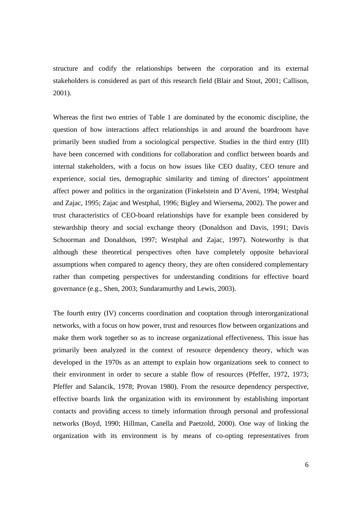structure and codify the relationships between the corporation and its external stakeholders is considered as part of this research field (Blair and Stout, 2001; Callison, 2001).

Whereas the first two entries of Table 1 are dominated by the economic discipline, the question of how interactions affect relationships in and around the boardroom have primarily been studied from a sociological perspective. Studies in the third entry (III) have been concerned with conditions for collaboration and conflict between boards and internal stakeholders, with a focus on how issues like CEO duality, CEO tenure and experience, social ties, demographic similarity and timing of directors' appointment affect power and politics in the organization (Finkelstein and D'Aveni, 1994; Westphal and Zajac, 1995; Zajac and Westphal, 1996; Bigley and Wiersema, 2002). The power and trust characteristics of CEO-board relationships have for example been considered by stewardship theory and social exchange theory (Donaldson and Davis, 1991; Davis Schoorman and Donaldson, 1997; Westphal and Zajac, 1997). Noteworthy is that although these theoretical perspectives often have completely opposite behavioral assumptions when compared to agency theory, they are often considered complementary rather than competing perspectives for understanding conditions for effective board governance (e.g., Shen, 2003; Sundaramurthy and Lewis, 2003).

The fourth entry (IV) concerns coordination and cooptation through interorganizational networks, with a focus on how power, trust and resources flow between organizations and make them work together so as to increase organizational effectiveness. This issue has primarily been analyzed in the context of resource dependency theory, which was developed in the 1970s as an attempt to explain how organizations seek to connect to their environment in order to secure a stable flow of resources (Pfeffer, 1972, 1973; Pfeffer and Salancik, 1978; Provan 1980). From the resource dependency perspective, effective boards link the organization with its environment by establishing important contacts and providing access to timely information through personal and professional networks (Boyd, 1990; Hillman, Canella and Paetzold, 2000). One way of linking the organization with its environment is by means of co-opting representatives from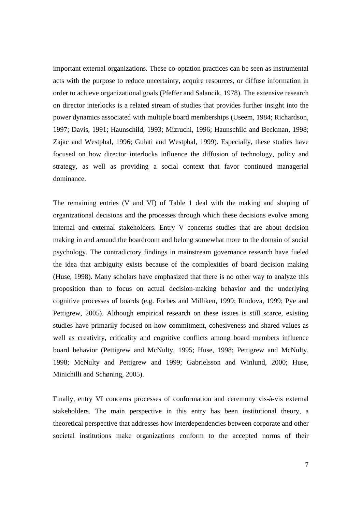important external organizations. These co-optation practices can be seen as instrumental acts with the purpose to reduce uncertainty, acquire resources, or diffuse information in order to achieve organizational goals (Pfeffer and Salancik, 1978). The extensive research on director interlocks is a related stream of studies that provides further insight into the power dynamics associated with multiple board memberships (Useem, 1984; Richardson, 1997; Davis, 1991; Haunschild, 1993; Mizruchi, 1996; Haunschild and Beckman, 1998; Zajac and Westphal, 1996; Gulati and Westphal, 1999). Especially, these studies have focused on how director interlocks influence the diffusion of technology, policy and strategy, as well as providing a social context that favor continued managerial dominance.

The remaining entries (V and VI) of Table 1 deal with the making and shaping of organizational decisions and the processes through which these decisions evolve among internal and external stakeholders. Entry V concerns studies that are about decision making in and around the boardroom and belong somewhat more to the domain of social psychology. The contradictory findings in mainstream governance research have fueled the idea that ambiguity exists because of the complexities of board decision making (Huse, 1998). Many scholars have emphasized that there is no other way to analyze this proposition than to focus on actual decision-making behavior and the underlying cognitive processes of boards (e.g. Forbes and Milliken, 1999; Rindova, 1999; Pye and Pettigrew, 2005). Although empirical research on these issues is still scarce, existing studies have primarily focused on how commitment, cohesiveness and shared values as well as creativity, criticality and cognitive conflicts among board members influence board behavior (Pettigrew and McNulty, 1995; Huse, 1998; Pettigrew and McNulty, 1998; McNulty and Pettigrew and 1999; Gabrielsson and Winlund, 2000; Huse, Minichilli and Schøning, 2005).

Finally, entry VI concerns processes of conformation and ceremony vis-à-vis external stakeholders. The main perspective in this entry has been institutional theory, a theoretical perspective that addresses how interdependencies between corporate and other societal institutions make organizations conform to the accepted norms of their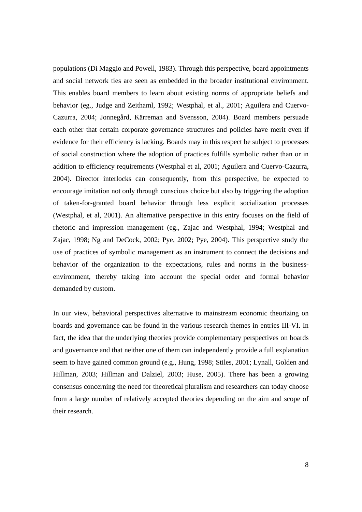populations (Di Maggio and Powell, 1983). Through this perspective, board appointments and social network ties are seen as embedded in the broader institutional environment. This enables board members to learn about existing norms of appropriate beliefs and behavior (eg., Judge and Zeithaml, 1992; Westphal, et al., 2001; Aguilera and Cuervo-Cazurra, 2004; Jonnegård, Kärreman and Svensson, 2004). Board members persuade each other that certain corporate governance structures and policies have merit even if evidence for their efficiency is lacking. Boards may in this respect be subject to processes of social construction where the adoption of practices fulfills symbolic rather than or in addition to efficiency requirements (Westphal et al, 2001; Aguilera and Cuervo-Cazurra, 2004). Director interlocks can consequently, from this perspective, be expected to encourage imitation not only through conscious choice but also by triggering the adoption of taken-for-granted board behavior through less explicit socialization processes (Westphal, et al, 2001). An alternative perspective in this entry focuses on the field of rhetoric and impression management (eg., Zajac and Westphal, 1994; Westphal and Zajac, 1998; Ng and DeCock, 2002; Pye, 2002; Pye, 2004). This perspective study the use of practices of symbolic management as an instrument to connect the decisions and behavior of the organization to the expectations, rules and norms in the businessenvironment, thereby taking into account the special order and formal behavior demanded by custom.

In our view, behavioral perspectives alternative to mainstream economic theorizing on boards and governance can be found in the various research themes in entries III-VI. In fact, the idea that the underlying theories provide complementary perspectives on boards and governance and that neither one of them can independently provide a full explanation seem to have gained common ground (e.g., Hung, 1998; Stiles, 2001; Lynall, Golden and Hillman, 2003; Hillman and Dalziel, 2003; Huse, 2005). There has been a growing consensus concerning the need for theoretical pluralism and researchers can today choose from a large number of relatively accepted theories depending on the aim and scope of their research.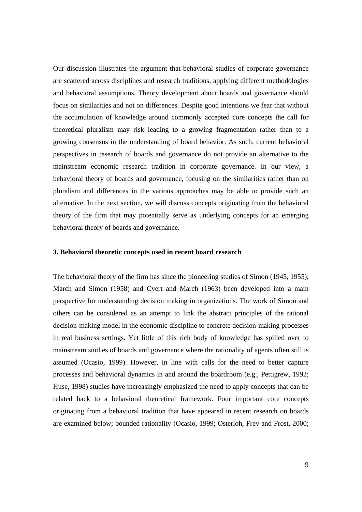Our discussion illustrates the argument that behavioral studies of corporate governance are scattered across disciplines and research traditions, applying different methodologies and behavioral assumptions. Theory development about boards and governance should focus on similarities and not on differences. Despite good intentions we fear that without the accumulation of knowledge around commonly accepted core concepts the call for theoretical pluralism may risk leading to a growing fragmentation rather than to a growing consensus in the understanding of board behavior. As such, current behavioral perspectives in research of boards and governance do not provide an alternative to the mainstream economic research tradition in corporate governance. In our view, a behavioral theory of boards and governance, focusing on the similarities rather than on pluralism and differences in the various approaches may be able to provide such an alternative. In the next section, we will discuss concepts originating from the behavioral theory of the firm that may potentially serve as underlying concepts for an emerging behavioral theory of boards and governance.

### **3. Behavioral theoretic concepts used in recent board research**

The behavioral theory of the firm has since the pioneering studies of Simon (1945, 1955), March and Simon (1958) and Cyert and March (1963) been developed into a main perspective for understanding decision making in organizations. The work of Simon and others can be considered as an attempt to link the abstract principles of the rational decision-making model in the economic discipline to concrete decision-making processes in real business settings. Yet little of this rich body of knowledge has spilled over to mainstream studies of boards and governance where the rationality of agents often still is assumed (Ocasio, 1999). However, in line with calls for the need to better capture processes and behavioral dynamics in and around the boardroom (e.g., Pettigrew, 1992; Huse, 1998) studies have increasingly emphasized the need to apply concepts that can be related back to a behavioral theoretical framework. Four important core concepts originating from a behavioral tradition that have appeared in recent research on boards are examined below; bounded rationality (Ocasio, 1999; Osterloh, Frey and Frost, 2000;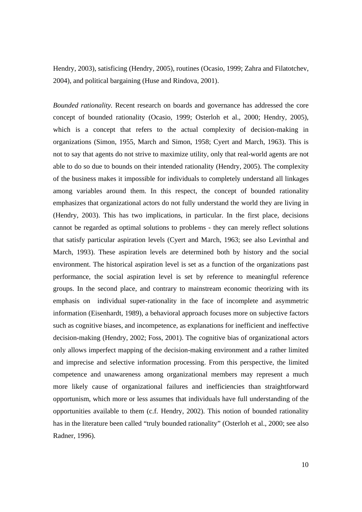Hendry, 2003), satisficing (Hendry, 2005), routines (Ocasio, 1999; Zahra and Filatotchev, 2004), and political bargaining (Huse and Rindova, 2001).

*Bounded rationality.* Recent research on boards and governance has addressed the core concept of bounded rationality (Ocasio, 1999; Osterloh et al., 2000; Hendry, 2005), which is a concept that refers to the actual complexity of decision-making in organizations (Simon, 1955, March and Simon, 1958; Cyert and March, 1963). This is not to say that agents do not strive to maximize utility, only that real-world agents are not able to do so due to bounds on their intended rationality (Hendry, 2005). The complexity of the business makes it impossible for individuals to completely understand all linkages among variables around them. In this respect, the concept of bounded rationality emphasizes that organizational actors do not fully understand the world they are living in (Hendry, 2003). This has two implications, in particular. In the first place, decisions cannot be regarded as optimal solutions to problems - they can merely reflect solutions that satisfy particular aspiration levels (Cyert and March, 1963; see also Levinthal and March, 1993). These aspiration levels are determined both by history and the social environment. The historical aspiration level is set as a function of the organizations past performance, the social aspiration level is set by reference to meaningful reference groups. In the second place, and contrary to mainstream economic theorizing with its emphasis on individual super-rationality in the face of incomplete and asymmetric information (Eisenhardt, 1989), a behavioral approach focuses more on subjective factors such as cognitive biases, and incompetence, as explanations for inefficient and ineffective decision-making (Hendry, 2002; Foss, 2001). The cognitive bias of organizational actors only allows imperfect mapping of the decision-making environment and a rather limited and imprecise and selective information processing. From this perspective, the limited competence and unawareness among organizational members may represent a much more likely cause of organizational failures and inefficiencies than straightforward opportunism, which more or less assumes that individuals have full understanding of the opportunities available to them (c.f. Hendry, 2002). This notion of bounded rationality has in the literature been called "truly bounded rationality" (Osterloh et al., 2000; see also Radner, 1996).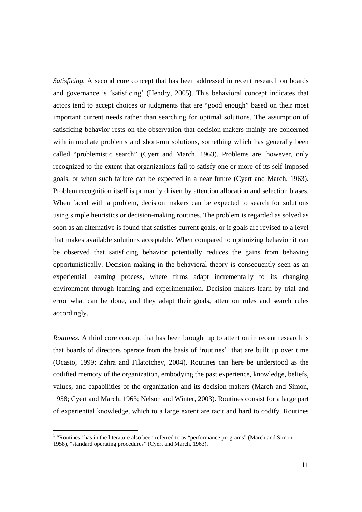*Satisficing.* A second core concept that has been addressed in recent research on boards and governance is 'satisficing' (Hendry, 2005). This behavioral concept indicates that actors tend to accept choices or judgments that are "good enough" based on their most important current needs rather than searching for optimal solutions. The assumption of satisficing behavior rests on the observation that decision-makers mainly are concerned with immediate problems and short-run solutions, something which has generally been called "problemistic search" (Cyert and March, 1963). Problems are, however, only recognized to the extent that organizations fail to satisfy one or more of its self-imposed goals, or when such failure can be expected in a near future (Cyert and March, 1963). Problem recognition itself is primarily driven by attention allocation and selection biases. When faced with a problem, decision makers can be expected to search for solutions using simple heuristics or decision-making routines. The problem is regarded as solved as soon as an alternative is found that satisfies current goals, or if goals are revised to a level that makes available solutions acceptable. When compared to optimizing behavior it can be observed that satisficing behavior potentially reduces the gains from behaving opportunistically. Decision making in the behavioral theory is consequently seen as an experiential learning process, where firms adapt incrementally to its changing environment through learning and experimentation. Decision makers learn by trial and error what can be done, and they adapt their goals, attention rules and search rules accordingly.

*Routines.* A third core concept that has been brought up to attention in recent research is that boards of directors operate from the basis of 'routines' that are built up over time (Ocasio, 1999; Zahra and Filatotchev, 2004). Routines can here be understood as the codified memory of the organization, embodying the past experience, knowledge, beliefs, values, and capabilities of the organization and its decision makers (March and Simon, 1958; Cyert and March, 1963; Nelson and Winter, 2003). Routines consist for a large part of experiential knowledge, which to a large extent are tacit and hard to codify. Routines

-

<sup>&</sup>lt;sup>1</sup> "Routines" has in the literature also been referred to as "performance programs" (March and Simon, 1958), "standard operating procedures" (Cyert and March, 1963).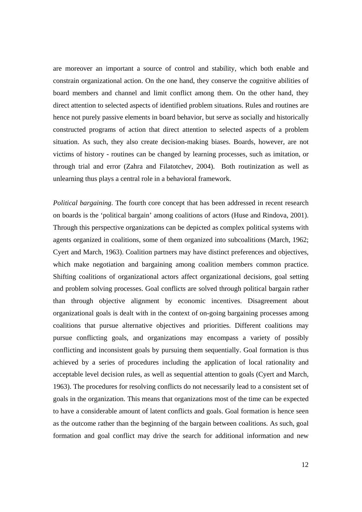are moreover an important a source of control and stability, which both enable and constrain organizational action. On the one hand, they conserve the cognitive abilities of board members and channel and limit conflict among them. On the other hand, they direct attention to selected aspects of identified problem situations. Rules and routines are hence not purely passive elements in board behavior, but serve as socially and historically constructed programs of action that direct attention to selected aspects of a problem situation. As such, they also create decision-making biases. Boards, however, are not victims of history - routines can be changed by learning processes, such as imitation, or through trial and error (Zahra and Filatotchev, 2004). Both routinization as well as unlearning thus plays a central role in a behavioral framework.

*Political bargaining.* The fourth core concept that has been addressed in recent research on boards is the 'political bargain' among coalitions of actors (Huse and Rindova, 2001). Through this perspective organizations can be depicted as complex political systems with agents organized in coalitions, some of them organized into subcoalitions (March, 1962; Cyert and March, 1963). Coalition partners may have distinct preferences and objectives, which make negotiation and bargaining among coalition members common practice. Shifting coalitions of organizational actors affect organizational decisions, goal setting and problem solving processes. Goal conflicts are solved through political bargain rather than through objective alignment by economic incentives. Disagreement about organizational goals is dealt with in the context of on-going bargaining processes among coalitions that pursue alternative objectives and priorities. Different coalitions may pursue conflicting goals, and organizations may encompass a variety of possibly conflicting and inconsistent goals by pursuing them sequentially. Goal formation is thus achieved by a series of procedures including the application of local rationality and acceptable level decision rules, as well as sequential attention to goals (Cyert and March, 1963). The procedures for resolving conflicts do not necessarily lead to a consistent set of goals in the organization. This means that organizations most of the time can be expected to have a considerable amount of latent conflicts and goals. Goal formation is hence seen as the outcome rather than the beginning of the bargain between coalitions. As such, goal formation and goal conflict may drive the search for additional information and new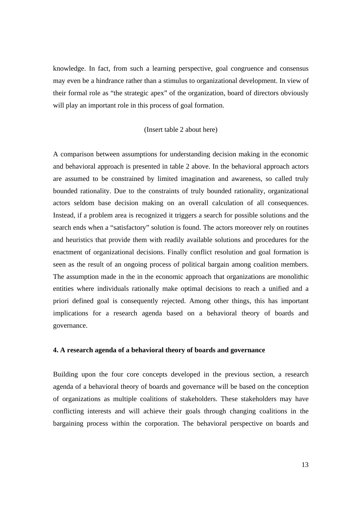knowledge. In fact, from such a learning perspective, goal congruence and consensus may even be a hindrance rather than a stimulus to organizational development. In view of their formal role as "the strategic apex" of the organization, board of directors obviously will play an important role in this process of goal formation.

### (Insert table 2 about here)

A comparison between assumptions for understanding decision making in the economic and behavioral approach is presented in table 2 above. In the behavioral approach actors are assumed to be constrained by limited imagination and awareness, so called truly bounded rationality. Due to the constraints of truly bounded rationality, organizational actors seldom base decision making on an overall calculation of all consequences. Instead, if a problem area is recognized it triggers a search for possible solutions and the search ends when a "satisfactory" solution is found. The actors moreover rely on routines and heuristics that provide them with readily available solutions and procedures for the enactment of organizational decisions. Finally conflict resolution and goal formation is seen as the result of an ongoing process of political bargain among coalition members. The assumption made in the in the economic approach that organizations are monolithic entities where individuals rationally make optimal decisions to reach a unified and a priori defined goal is consequently rejected. Among other things, this has important implications for a research agenda based on a behavioral theory of boards and governance.

### **4. A research agenda of a behavioral theory of boards and governance**

Building upon the four core concepts developed in the previous section, a research agenda of a behavioral theory of boards and governance will be based on the conception of organizations as multiple coalitions of stakeholders. These stakeholders may have conflicting interests and will achieve their goals through changing coalitions in the bargaining process within the corporation. The behavioral perspective on boards and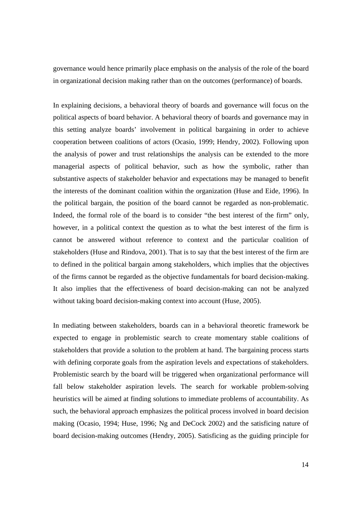governance would hence primarily place emphasis on the analysis of the role of the board in organizational decision making rather than on the outcomes (performance) of boards.

In explaining decisions, a behavioral theory of boards and governance will focus on the political aspects of board behavior. A behavioral theory of boards and governance may in this setting analyze boards' involvement in political bargaining in order to achieve cooperation between coalitions of actors (Ocasio, 1999; Hendry, 2002). Following upon the analysis of power and trust relationships the analysis can be extended to the more managerial aspects of political behavior, such as how the symbolic, rather than substantive aspects of stakeholder behavior and expectations may be managed to benefit the interests of the dominant coalition within the organization (Huse and Eide, 1996). In the political bargain, the position of the board cannot be regarded as non-problematic. Indeed, the formal role of the board is to consider "the best interest of the firm" only, however, in a political context the question as to what the best interest of the firm is cannot be answered without reference to context and the particular coalition of stakeholders (Huse and Rindova, 2001). That is to say that the best interest of the firm are to defined in the political bargain among stakeholders, which implies that the objectives of the firms cannot be regarded as the objective fundamentals for board decision-making. It also implies that the effectiveness of board decision-making can not be analyzed without taking board decision-making context into account (Huse, 2005).

In mediating between stakeholders, boards can in a behavioral theoretic framework be expected to engage in problemistic search to create momentary stable coalitions of stakeholders that provide a solution to the problem at hand. The bargaining process starts with defining corporate goals from the aspiration levels and expectations of stakeholders. Problemistic search by the board will be triggered when organizational performance will fall below stakeholder aspiration levels. The search for workable problem-solving heuristics will be aimed at finding solutions to immediate problems of accountability. As such, the behavioral approach emphasizes the political process involved in board decision making (Ocasio, 1994; Huse, 1996; Ng and DeCock 2002) and the satisficing nature of board decision-making outcomes (Hendry, 2005). Satisficing as the guiding principle for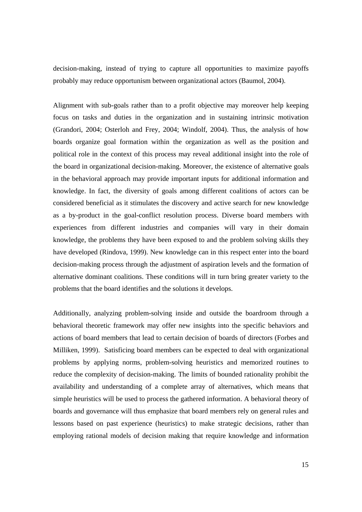decision-making, instead of trying to capture all opportunities to maximize payoffs probably may reduce opportunism between organizational actors (Baumol, 2004).

Alignment with sub-goals rather than to a profit objective may moreover help keeping focus on tasks and duties in the organization and in sustaining intrinsic motivation (Grandori, 2004; Osterloh and Frey, 2004; Windolf, 2004). Thus, the analysis of how boards organize goal formation within the organization as well as the position and political role in the context of this process may reveal additional insight into the role of the board in organizational decision-making. Moreover, the existence of alternative goals in the behavioral approach may provide important inputs for additional information and knowledge. In fact, the diversity of goals among different coalitions of actors can be considered beneficial as it stimulates the discovery and active search for new knowledge as a by-product in the goal-conflict resolution process. Diverse board members with experiences from different industries and companies will vary in their domain knowledge, the problems they have been exposed to and the problem solving skills they have developed (Rindova, 1999). New knowledge can in this respect enter into the board decision-making process through the adjustment of aspiration levels and the formation of alternative dominant coalitions. These conditions will in turn bring greater variety to the problems that the board identifies and the solutions it develops.

Additionally, analyzing problem-solving inside and outside the boardroom through a behavioral theoretic framework may offer new insights into the specific behaviors and actions of board members that lead to certain decision of boards of directors (Forbes and Milliken, 1999). Satisficing board members can be expected to deal with organizational problems by applying norms, problem-solving heuristics and memorized routines to reduce the complexity of decision-making. The limits of bounded rationality prohibit the availability and understanding of a complete array of alternatives, which means that simple heuristics will be used to process the gathered information. A behavioral theory of boards and governance will thus emphasize that board members rely on general rules and lessons based on past experience (heuristics) to make strategic decisions, rather than employing rational models of decision making that require knowledge and information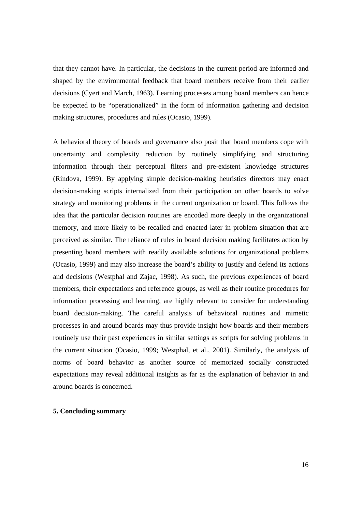that they cannot have. In particular, the decisions in the current period are informed and shaped by the environmental feedback that board members receive from their earlier decisions (Cyert and March, 1963). Learning processes among board members can hence be expected to be "operationalized" in the form of information gathering and decision making structures, procedures and rules (Ocasio, 1999).

A behavioral theory of boards and governance also posit that board members cope with uncertainty and complexity reduction by routinely simplifying and structuring information through their perceptual filters and pre-existent knowledge structures (Rindova, 1999). By applying simple decision-making heuristics directors may enact decision-making scripts internalized from their participation on other boards to solve strategy and monitoring problems in the current organization or board. This follows the idea that the particular decision routines are encoded more deeply in the organizational memory, and more likely to be recalled and enacted later in problem situation that are perceived as similar. The reliance of rules in board decision making facilitates action by presenting board members with readily available solutions for organizational problems (Ocasio, 1999) and may also increase the board's ability to justify and defend its actions and decisions (Westphal and Zajac, 1998). As such, the previous experiences of board members, their expectations and reference groups, as well as their routine procedures for information processing and learning, are highly relevant to consider for understanding board decision-making. The careful analysis of behavioral routines and mimetic processes in and around boards may thus provide insight how boards and their members routinely use their past experiences in similar settings as scripts for solving problems in the current situation (Ocasio, 1999; Westphal, et al., 2001). Similarly, the analysis of norms of board behavior as another source of memorized socially constructed expectations may reveal additional insights as far as the explanation of behavior in and around boards is concerned.

## **5. Concluding summary**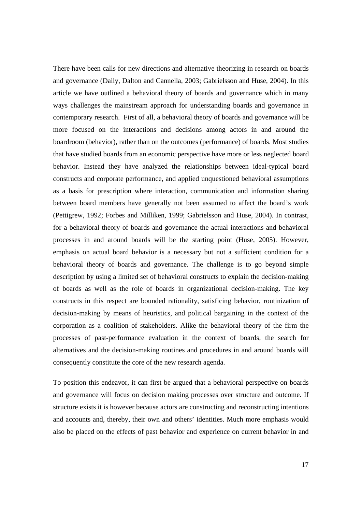There have been calls for new directions and alternative theorizing in research on boards and governance (Daily, Dalton and Cannella, 2003; Gabrielsson and Huse, 2004). In this article we have outlined a behavioral theory of boards and governance which in many ways challenges the mainstream approach for understanding boards and governance in contemporary research. First of all, a behavioral theory of boards and governance will be more focused on the interactions and decisions among actors in and around the boardroom (behavior), rather than on the outcomes (performance) of boards. Most studies that have studied boards from an economic perspective have more or less neglected board behavior. Instead they have analyzed the relationships between ideal-typical board constructs and corporate performance, and applied unquestioned behavioral assumptions as a basis for prescription where interaction, communication and information sharing between board members have generally not been assumed to affect the board's work (Pettigrew, 1992; Forbes and Milliken, 1999; Gabrielsson and Huse, 2004). In contrast, for a behavioral theory of boards and governance the actual interactions and behavioral processes in and around boards will be the starting point (Huse, 2005). However, emphasis on actual board behavior is a necessary but not a sufficient condition for a behavioral theory of boards and governance. The challenge is to go beyond simple description by using a limited set of behavioral constructs to explain the decision-making of boards as well as the role of boards in organizational decision-making. The key constructs in this respect are bounded rationality, satisficing behavior, routinization of decision-making by means of heuristics, and political bargaining in the context of the corporation as a coalition of stakeholders. Alike the behavioral theory of the firm the processes of past-performance evaluation in the context of boards, the search for alternatives and the decision-making routines and procedures in and around boards will consequently constitute the core of the new research agenda.

To position this endeavor, it can first be argued that a behavioral perspective on boards and governance will focus on decision making processes over structure and outcome. If structure exists it is however because actors are constructing and reconstructing intentions and accounts and, thereby, their own and others' identities. Much more emphasis would also be placed on the effects of past behavior and experience on current behavior in and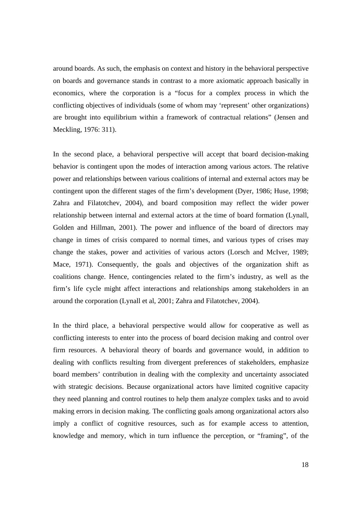around boards. As such, the emphasis on context and history in the behavioral perspective on boards and governance stands in contrast to a more axiomatic approach basically in economics, where the corporation is a "focus for a complex process in which the conflicting objectives of individuals (some of whom may 'represent' other organizations) are brought into equilibrium within a framework of contractual relations" (Jensen and Meckling, 1976: 311).

In the second place, a behavioral perspective will accept that board decision-making behavior is contingent upon the modes of interaction among various actors. The relative power and relationships between various coalitions of internal and external actors may be contingent upon the different stages of the firm's development (Dyer, 1986; Huse, 1998; Zahra and Filatotchev, 2004), and board composition may reflect the wider power relationship between internal and external actors at the time of board formation (Lynall, Golden and Hillman, 2001). The power and influence of the board of directors may change in times of crisis compared to normal times, and various types of crises may change the stakes, power and activities of various actors (Lorsch and McIver, 1989; Mace, 1971). Consequently, the goals and objectives of the organization shift as coalitions change. Hence, contingencies related to the firm's industry, as well as the firm's life cycle might affect interactions and relationships among stakeholders in an around the corporation (Lynall et al, 2001; Zahra and Filatotchev, 2004).

In the third place, a behavioral perspective would allow for cooperative as well as conflicting interests to enter into the process of board decision making and control over firm resources. A behavioral theory of boards and governance would, in addition to dealing with conflicts resulting from divergent preferences of stakeholders, emphasize board members' contribution in dealing with the complexity and uncertainty associated with strategic decisions. Because organizational actors have limited cognitive capacity they need planning and control routines to help them analyze complex tasks and to avoid making errors in decision making. The conflicting goals among organizational actors also imply a conflict of cognitive resources, such as for example access to attention, knowledge and memory, which in turn influence the perception, or "framing", of the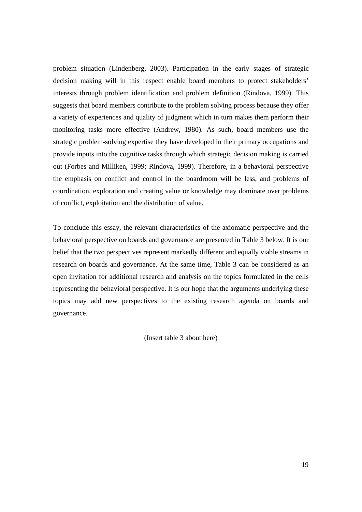problem situation (Lindenberg, 2003). Participation in the early stages of strategic decision making will in this respect enable board members to protect stakeholders' interests through problem identification and problem definition (Rindova, 1999). This suggests that board members contribute to the problem solving process because they offer a variety of experiences and quality of judgment which in turn makes them perform their monitoring tasks more effective (Andrew, 1980). As such, board members use the strategic problem-solving expertise they have developed in their primary occupations and provide inputs into the cognitive tasks through which strategic decision making is carried out (Forbes and Milliken, 1999; Rindova, 1999). Therefore, in a behavioral perspective the emphasis on conflict and control in the boardroom will be less, and problems of coordination, exploration and creating value or knowledge may dominate over problems of conflict, exploitation and the distribution of value.

To conclude this essay, the relevant characteristics of the axiomatic perspective and the behavioral perspective on boards and governance are presented in Table 3 below. It is our belief that the two perspectives represent markedly different and equally viable streams in research on boards and governance. At the same time, Table 3 can be considered as an open invitation for additional research and analysis on the topics formulated in the cells representing the behavioral perspective. It is our hope that the arguments underlying these topics may add new perspectives to the existing research agenda on boards and governance.

(Insert table 3 about here)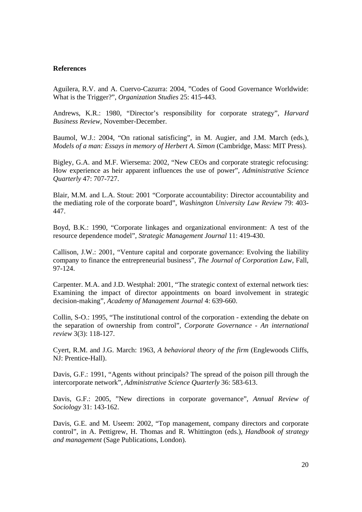#### **References**

Aguilera, R.V. and A. Cuervo-Cazurra: 2004, "Codes of Good Governance Worldwide: What is the Trigger?", *Organization Studies* 25: 415-443.

Andrews, K.R.: 1980, "Director's responsibility for corporate strategy", *Harvard Business Review*, November-December.

Baumol, W.J.: 2004, "On rational satisficing", in M. Augier, and J.M. March (eds.), *Models of a man: Essays in memory of Herbert A. Simon* (Cambridge, Mass: MIT Press).

Bigley, G.A. and M.F. Wiersema: 2002, "New CEOs and corporate strategic refocusing: How experience as heir apparent influences the use of power", *Administrative Science Quarterly* 47: 707-727.

Blair, M.M. and L.A. Stout: 2001 "Corporate accountability: Director accountability and the mediating role of the corporate board", *Washington University Law Review* 79: 403- 447.

Boyd, B.K.: 1990, "Corporate linkages and organizational environment: A test of the resource dependence model", *Strategic Management Journal* 11: 419-430.

Callison, J.W.: 2001, "Venture capital and corporate governance: Evolving the liability company to finance the entrepreneurial business", *The Journal of Corporation Law*, Fall, 97-124.

Carpenter. M.A. and J.D. Westphal: 2001, "The strategic context of external network ties: Examining the impact of director appointments on board involvement in strategic decision-making", *Academy of Management Journal* 4: 639-660.

Collin, S-O.: 1995, "The institutional control of the corporation - extending the debate on the separation of ownership from control", *Corporate Governance - An international review* 3(3): 118-127.

Cyert, R.M. and J.G. March: 1963, *A behavioral theory of the firm* (Englewoods Cliffs, NJ: Prentice-Hall).

Davis, G.F.: 1991, "Agents without principals? The spread of the poison pill through the intercorporate network", *Administrative Science Quarterly* 36: 583-613.

Davis, G.F.: 2005, "New directions in corporate governance", *Annual Review of Sociology* 31: 143-162.

Davis, G.E. and M. Useem: 2002, "Top management, company directors and corporate control", in A. Pettigrew, H. Thomas and R. Whittington (eds.), *Handbook of strategy and management* (Sage Publications, London).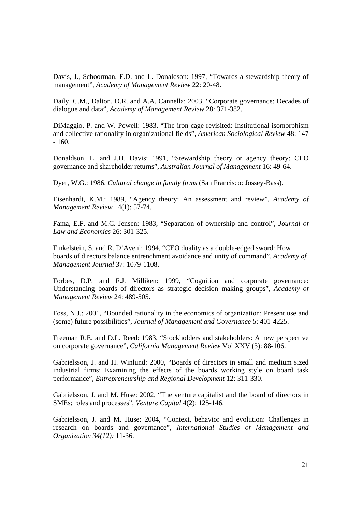Davis, J., Schoorman, F.D. and L. Donaldson: 1997, "Towards a stewardship theory of management", *Academy of Management Review* 22: 20-48.

Daily, C.M., Dalton, D.R. and A.A. Cannella: 2003, "Corporate governance: Decades of dialogue and data", *Academy of Management Review* 28: 371-382.

DiMaggio, P. and W. Powell: 1983, "The iron cage revisited: Institutional isomorphism and collective rationality in organizational fields", *American Sociological Review* 48: 147  $-160.$ 

Donaldson, L. and J.H. Davis: 1991, "Stewardship theory or agency theory: CEO governance and shareholder returns", *Australian Journal of Management* 16: 49-64.

Dyer, W.G.: 1986, *Cultural change in family firms* (San Francisco: Jossey-Bass).

Eisenhardt, K.M.: 1989, "Agency theory: An assessment and review", *Academy of Management Review* 14(1): 57-74.

Fama, E.F. and M.C. Jensen: 1983, "Separation of ownership and control", *Journal of Law and Economics* 26: 301-325.

Finkelstein, S. and R. D'Aveni: 1994, "CEO duality as a double-edged sword: How boards of directors balance entrenchment avoidance and unity of command", *Academy of Management Journal* 37: 1079-1108.

Forbes, D.P. and F.J. Milliken: 1999, "Cognition and corporate governance: Understanding boards of directors as strategic decision making groups", *Academy of Management Review* 24: 489-505.

Foss, N.J.: 2001, "Bounded rationality in the economics of organization: Present use and (some) future possibilities", *Journal of Management and Governance* 5: 401-4225.

Freeman R.E. and D.L. Reed: 1983, "Stockholders and stakeholders: A new perspective on corporate governance", *California Management Review* Vol XXV (3): 88-106.

Gabrielsson, J. and H. Winlund: 2000, "Boards of directors in small and medium sized industrial firms: Examining the effects of the boards working style on board task performance", *Entrepreneurship and Regional Development* 12: 311-330.

Gabrielsson, J. and M. Huse: 2002, "The venture capitalist and the board of directors in SMEs: roles and processes", *Venture Capital* 4(2): 125-146.

Gabrielsson, J. and M. Huse: 2004, "Context, behavior and evolution: Challenges in research on boards and governance", *International Studies of Management and Organization 34(12):* 11-36.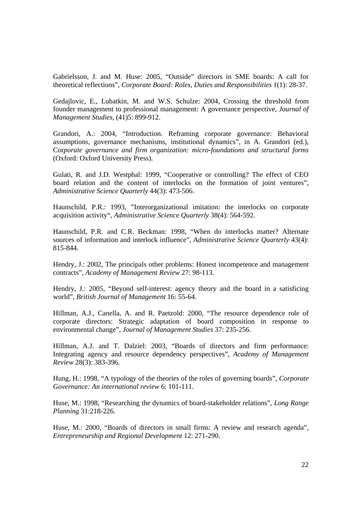Gabrielsson, J. and M. Huse: 2005, "Outside" directors in SME boards: A call for theoretical reflections", *Corporate Board: Roles, Duties and Responsibilities* 1(1): 28-37.

Gedajlovic, E., Lubatkin, M. and W.S. Schulze: 2004, Crossing the threshold from founder management to professional management: A governance perspective, *Journal of Management Studies*, (41)5: 899-912.

Grandori, A.: 2004, "Introduction. Reframing corporate governance: Behavioral assumptions, governance mechanisms, institutional dynamics", in A. Grandori (ed.), Cor*porate governance and firm organization: micro-foundations and structural forms*  (Oxford: Oxford University Press).

Gulati, R. and J.D. Westphal: 1999, "Cooperative or controlling? The effect of CEO board relation and the content of interlocks on the formation of joint ventures", *Administrative Science Quarterly* 44(3): 473-506.

Haunschild, P.R.: 1993, "Interorganizational imitation: the interlocks on corporate acquisition activity", *Administrative Science Quarterly* 38(4): 564-592.

Haunschild, P.R. and C.R. Beckman: 1998, "When do interlocks matter? Alternate sources of information and interlock influence", *Administrative Science Quarterly* 43(4): 815-844.

Hendry, J.: 2002, The principals other problems: Honest incompetence and management contracts", *Academy of Management Review* 27: 98-113.

Hendry, J.: 2005, "Beyond self-interest: agency theory and the board in a satisficing world", *British Journal of Management* 16: 55-64.

Hillman, A.J., Canella, A. and R. Paetzold: 2000, "The resource dependence role of corporate directors: Strategic adaptation of board composition in response to environmental change", *Journal of Management Studies* 37: 235-256.

Hillman, A.J. and T. Dalziel: 2003, "Boards of directors and firm performance: Integrating agency and resource dependency perspectives", *Academy of Management Review* 28(3): 383-396.

Hung, H.: 1998, "A typology of the theories of the roles of governing boards", *Corporate Governance: An international review* 6: 101-111.

Huse, M.: 1998, "Researching the dynamics of board-stakeholder relations", *Long Range Planning* 31:218-226.

Huse, M.: 2000, "Boards of directors in small firms: A review and research agenda", *Entrepreneurship and Regional Development* 12: 271-290.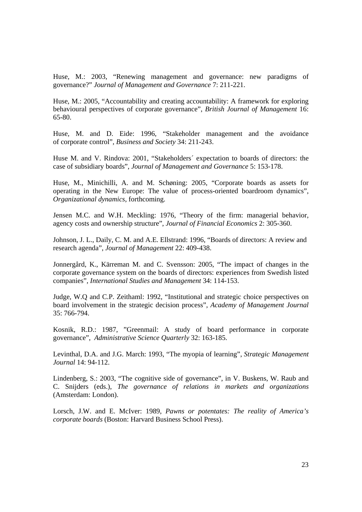Huse, M.: 2003, "Renewing management and governance: new paradigms of governance?" *Journal of Management and Governance* 7: 211-221.

Huse, M.: 2005, "Accountability and creating accountability: A framework for exploring behavioural perspectives of corporate governance", *British Journal of Management* 16: 65-80.

Huse, M. and D. Eide: 1996, "Stakeholder management and the avoidance of corporate control", *Business and Society* 34: 211-243.

Huse M. and V. Rindova: 2001, "Stakeholders´ expectation to boards of directors: the case of subsidiary boards", *Journal of Management and Governance* 5: 153-178.

Huse, M., Minichilli, A. and M. Schøning: 2005, "Corporate boards as assets for operating in the New Europe: The value of process-oriented boardroom dynamics", *Organizational dynamics*, forthcoming.

Jensen M.C. and W.H. Meckling: 1976, "Theory of the firm: managerial behavior, agency costs and ownership structure", *Journal of Financial Economics* 2: 305-360.

Johnson, J. L., Daily, C. M. and A.E. Ellstrand: 1996, "Boards of directors: A review and research agenda", *Journal of Management* 22: 409-438.

Jonnergård, K., Kärreman M. and C. Svensson: 2005, "The impact of changes in the corporate governance system on the boards of directors: experiences from Swedish listed companies", *International Studies and Management* 34: 114-153.

Judge, W.Q and C.P. Zeithaml: 1992, "Institutional and strategic choice perspectives on board involvement in the strategic decision process", *Academy of Management Journal* 35: 766-794.

Kosnik, R.D.: 1987, "Greenmail: A study of board performance in corporate governance", *Administrative Science Quarterly* 32: 163-185.

Levinthal, D.A. and J.G. March: 1993, "The myopia of learning", *Strategic Management Journal* 14: 94-112.

Lindenberg, S.: 2003, "The cognitive side of governance", in V. Buskens, W. Raub and C. Snijders (eds.), *The governance of relations in markets and organizations* (Amsterdam: London).

Lorsch, J.W. and E. McIver: 1989, *Pawns or potentates: The reality of America's corporate boards* (Boston: Harvard Business School Press).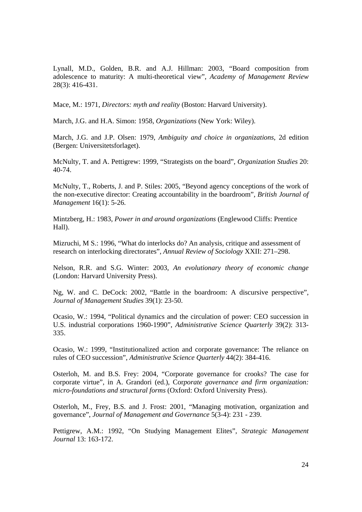Lynall, M.D., Golden, B.R. and A.J. Hillman: 2003, "Board composition from adolescence to maturity: A multi-theoretical view", *Academy of Management Review* 28(3): 416-431.

Mace, M.: 1971, *Directors: myth and reality* (Boston: Harvard University).

March, J.G. and H.A. Simon: 1958, *Organizations* (New York: Wiley).

March, J.G. and J.P. Olsen: 1979, *Ambiguity and choice in organizations*, 2d edition (Bergen: Universitetsforlaget).

McNulty, T. and A. Pettigrew: 1999, "Strategists on the board", *Organization Studies* 20: 40-74.

McNulty, T., Roberts, J. and P. Stiles: 2005, "Beyond agency conceptions of the work of the non-executive director: Creating accountability in the boardroom", *British Journal of Management* 16(1): 5-26.

Mintzberg, H.: 1983, *Power in and around organizations* (Englewood Cliffs: Prentice Hall).

Mizruchi, M S.: 1996, "What do interlocks do? An analysis, critique and assessment of research on interlocking directorates", *Annual Review of Sociology* XXII: 271–298.

Nelson, R.R. and S.G. Winter: 2003, *An evolutionary theory of economic change* (London: Harvard University Press).

Ng, W. and C. DeCock: 2002, "Battle in the boardroom: A discursive perspective", *Journal of Management Studies* 39(1): 23-50.

Ocasio, W.: 1994, "Political dynamics and the circulation of power: CEO succession in U.S. industrial corporations 1960-1990", *Administrative Science Quarterly* 39(2): 313- 335.

Ocasio, W.: 1999, "Institutionalized action and corporate governance: The reliance on rules of CEO succession", *Administrative Science Quarterly* 44(2): 384-416.

Osterloh, M. and B.S. Frey: 2004, "Corporate governance for crooks? The case for corporate virtue", in A. Grandori (ed.), Cor*porate governance and firm organization: micro-foundations and structural forms* (Oxford: Oxford University Press).

Osterloh, M., Frey, B.S. and J. Frost: 2001, "Managing motivation, organization and governance", *Journal of Management and Governance* 5(3-4): 231 - 239.

Pettigrew, A.M.: 1992, "On Studying Management Elites", *Strategic Management Journal* 13: 163-172.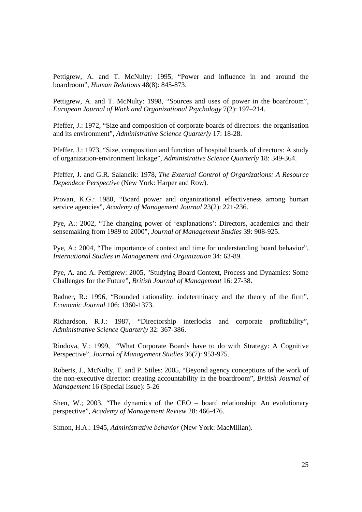Pettigrew, A. and T. McNulty: 1995, "Power and influence in and around the boardroom", *Human Relations* 48(8): 845-873.

Pettigrew, A. and T. McNulty: 1998, "Sources and uses of power in the boardroom", *European Journal of Work and Organizational Psychology* 7(2): 197–214.

Pfeffer, J.: 1972, "Size and composition of corporate boards of directors: the organisation and its environment", *Administrative Science Quarterly* 17: 18-28.

Pfeffer, J.: 1973, "Size, composition and function of hospital boards of directors: A study of organization-environment linkage", *Administrative Science Quarterly* 18: 349-364.

Pfeffer, J. and G.R. Salancik: 1978, *The External Control of Organizations: A Resource Dependece Perspective* (New York: Harper and Row).

Provan, K.G.: 1980, "Board power and organizational effectiveness among human service agencies", *Academy of Management Journal* 23(2): 221-236.

Pye, A.: 2002, "The changing power of 'explanations': Directors, academics and their sensemaking from 1989 to 2000", *Journal of Management Studies* 39: 908-925.

Pye, A.: 2004, "The importance of context and time for understanding board behavior", *International Studies in Management and Organization* 34: 63-89.

Pye, A. and A. Pettigrew: 2005, "Studying Board Context, Process and Dynamics: Some Challenges for the Future", *British Journal of Management* 16: 27-38.

Radner, R.: 1996, "Bounded rationality, indeterminacy and the theory of the firm", *Economic Journal* 106: 1360-1373.

Richardson, R.J.: 1987, "Directorship interlocks and corporate profitability", *Administrative Science Quarterly* 32: 367-386.

Rindova, V.: 1999, "What Corporate Boards have to do with Strategy: A Cognitive Perspective", *Journal of Management Studies* 36(7): 953-975.

Roberts, J., McNulty, T. and P. Stiles: 2005, "Beyond agency conceptions of the work of the non-executive director: creating accountability in the boardroom", *British Journal of Management* 16 (Special Issue): 5-26

Shen, W.; 2003, "The dynamics of the CEO – board relationship: An evolutionary perspective", *Academy of Management Review* 28: 466-476.

Simon, H.A.: 1945, *Administrative behavior* (New York: MacMillan).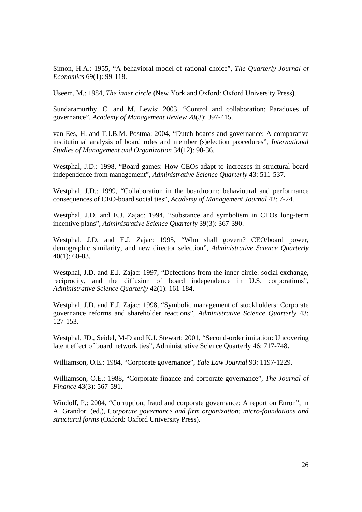Simon, H.A.: 1955, "A behavioral model of rational choice", *The Quarterly Journal of Economics* 69(1): 99-118.

Useem, M.: 1984, *The inner circle* **(**New York and Oxford: Oxford University Press).

Sundaramurthy, C. and M. Lewis: 2003, "Control and collaboration: Paradoxes of governance", *Academy of Management Review* 28(3): 397-415.

van Ees, H. and T.J.B.M. Postma: 2004, "Dutch boards and governance: A comparative institutional analysis of board roles and member (s)election procedures", *International Studies of Management and Organization* 34(12): 90-36.

Westphal, J.D.: 1998, "Board games: How CEOs adapt to increases in structural board independence from management", *Administrative Science Quarterly* 43: 511-537.

Westphal, J.D.: 1999, "Collaboration in the boardroom: behavioural and performance consequences of CEO-board social ties", *Academy of Management Journal* 42: 7-24.

Westphal, J.D. and E.J. Zajac: 1994, "Substance and symbolism in CEOs long-term incentive plans", *Administrative Science Quarterly* 39(3): 367-390.

Westphal, J.D. and E.J. Zajac: 1995, "Who shall govern? CEO/board power, demographic similarity, and new director selection", *Administrative Science Quarterly*  40(1): 60-83.

Westphal, J.D. and E.J. Zajac: 1997, "Defections from the inner circle: social exchange, reciprocity, and the diffusion of board independence in U.S. corporations", *Administrative Science Quarterly* 42(1): 161-184.

Westphal, J.D. and E.J. Zajac: 1998, "Symbolic management of stockholders: Corporate governance reforms and shareholder reactions", *Administrative Science Quarterly* 43: 127-153.

Westphal, JD., Seidel, M-D and K.J. Stewart: 2001, "Second-order imitation: Uncovering latent effect of board network ties", Administrative Science Quarterly 46: 717-748.

Williamson, O.E.: 1984, "Corporate governance", *Yale Law Journal* 93: 1197-1229.

Williamson, O.E.: 1988, "Corporate finance and corporate governance", *The Journal of Finance* 43(3): 567-591.

Windolf, P.: 2004, "Corruption, fraud and corporate governance: A report on Enron", in A. Grandori (ed.), Cor*porate governance and firm organization: micro-foundations and structural forms* (Oxford: Oxford University Press).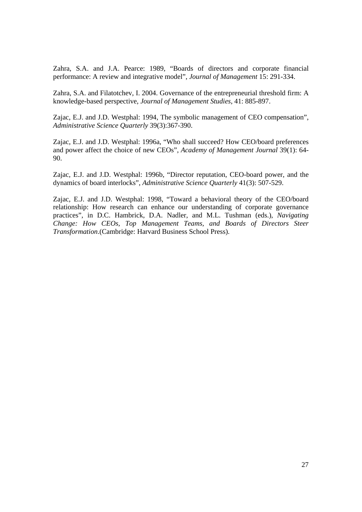Zahra, S.A. and J.A. Pearce: 1989, "Boards of directors and corporate financial performance: A review and integrative model", *Journal of Management* 15: 291-334.

Zahra, S.A. and Filatotchev, I. 2004. Governance of the entrepreneurial threshold firm: A knowledge-based perspective, *Journal of Management Studies*, 41: 885-897.

Zajac, E.J. and J.D. Westphal: 1994, The symbolic management of CEO compensation", *Administrative Science Quarterly* 39(3):367-390.

Zajac, E.J. and J.D. Westphal: 1996a, "Who shall succeed? How CEO/board preferences and power affect the choice of new CEOs", *Academy of Management Journal* 39(1): 64- 90.

Zajac, E.J. and J.D. Westphal: 1996b, "Director reputation, CEO-board power, and the dynamics of board interlocks", *Administrative Science Quarterly* 41(3): 507-529.

Zajac, E.J. and J.D. Westphal: 1998, "Toward a behavioral theory of the CEO/board relationship: How research can enhance our understanding of corporate governance practices", in D.C. Hambrick, D.A. Nadler, and M.L. Tushman (eds.), *Navigating Change: How CEOs, Top Management Teams, and Boards of Directors Steer Transformation*.(Cambridge: Harvard Business School Press).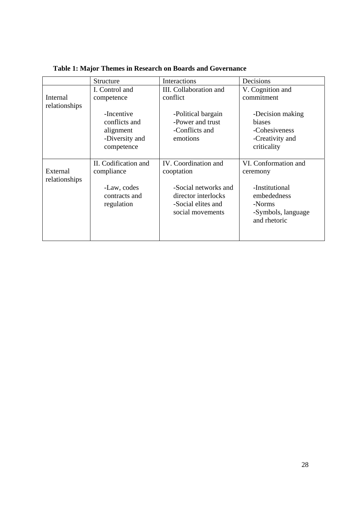|               | Structure            | Interactions           | Decisions            |
|---------------|----------------------|------------------------|----------------------|
|               | I. Control and       | III. Collaboration and | V. Cognition and     |
| Internal      | competence           | conflict               | commitment           |
| relationships |                      |                        |                      |
|               | -Incentive           | -Political bargain     | -Decision making     |
|               | conflicts and        | -Power and trust       | biases               |
|               | alignment            | -Conflicts and         | -Cohesiveness        |
|               | -Diversity and       | emotions               | -Creativity and      |
|               | competence           |                        | criticality          |
|               |                      |                        |                      |
|               | II. Codification and | IV. Coordination and   | VI. Conformation and |
| External      | compliance           | cooptation             | ceremony             |
| relationships |                      |                        |                      |
|               | -Law, codes          | -Social networks and   | -Institutional       |
|               | contracts and        | director interlocks    | embededness          |
|               | regulation           | -Social elites and     | -Norms               |
|               |                      | social movements       | -Symbols, language   |
|               |                      |                        | and rhetoric         |
|               |                      |                        |                      |
|               |                      |                        |                      |

**Table 1: Major Themes in Research on Boards and Governance**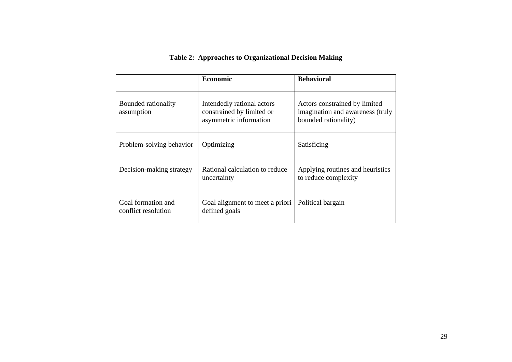|                                           | <b>Economic</b>                                                                   | <b>Behavioral</b>                                                                         |
|-------------------------------------------|-----------------------------------------------------------------------------------|-------------------------------------------------------------------------------------------|
| Bounded rationality<br>assumption         | Intendedly rational actors<br>constrained by limited or<br>asymmetric information | Actors constrained by limited<br>imagination and awareness (truly<br>bounded rationality) |
| Problem-solving behavior                  | Optimizing                                                                        | Satisficing                                                                               |
| Decision-making strategy                  | Rational calculation to reduce<br>uncertainty                                     | Applying routines and heuristics<br>to reduce complexity                                  |
| Goal formation and<br>conflict resolution | Goal alignment to meet a priori<br>defined goals                                  | Political bargain                                                                         |

# **Table 2: Approaches to Organizational Decision Making**